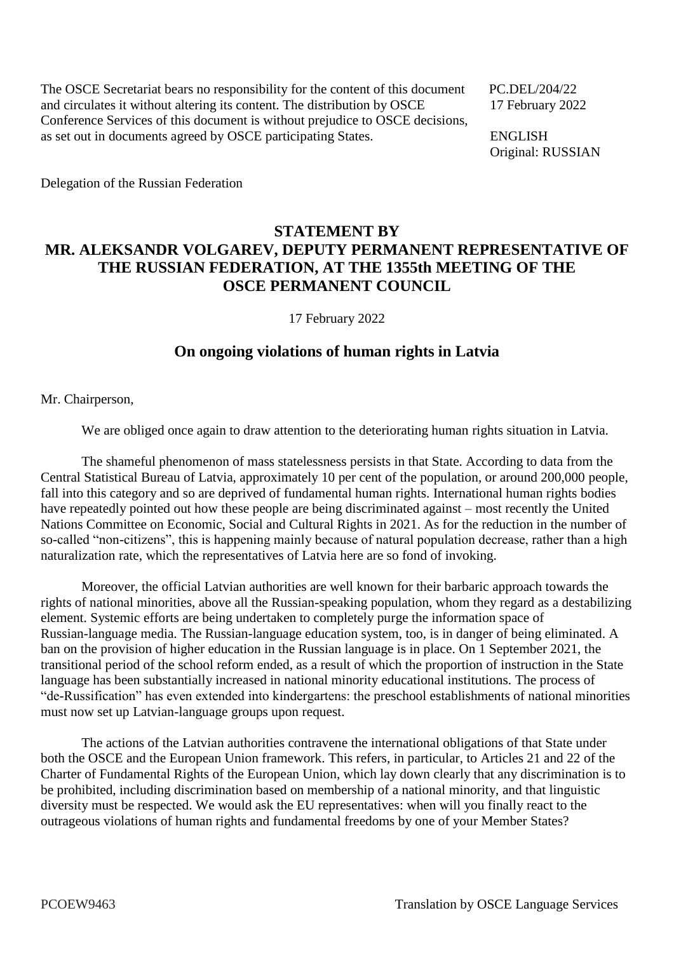The OSCE Secretariat bears no responsibility for the content of this document PC.DEL/204/22 and circulates it without altering its content. The distribution by OSCE 17 February 2022 Conference Services of this document is without prejudice to OSCE decisions, as set out in documents agreed by OSCE participating States. ENGLISH

Original: RUSSIAN

Delegation of the Russian Federation

## **STATEMENT BY MR. ALEKSANDR VOLGAREV, DEPUTY PERMANENT REPRESENTATIVE OF THE RUSSIAN FEDERATION, AT THE 1355th MEETING OF THE OSCE PERMANENT COUNCIL**

17 February 2022

## **On ongoing violations of human rights in Latvia**

Mr. Chairperson,

We are obliged once again to draw attention to the deteriorating human rights situation in Latvia.

The shameful phenomenon of mass statelessness persists in that State. According to data from the Central Statistical Bureau of Latvia, approximately 10 per cent of the population, or around 200,000 people, fall into this category and so are deprived of fundamental human rights. International human rights bodies have repeatedly pointed out how these people are being discriminated against – most recently the United Nations Committee on Economic, Social and Cultural Rights in 2021. As for the reduction in the number of so-called "non-citizens", this is happening mainly because of natural population decrease, rather than a high naturalization rate, which the representatives of Latvia here are so fond of invoking.

Moreover, the official Latvian authorities are well known for their barbaric approach towards the rights of national minorities, above all the Russian-speaking population, whom they regard as a destabilizing element. Systemic efforts are being undertaken to completely purge the information space of Russian-language media. The Russian-language education system, too, is in danger of being eliminated. A ban on the provision of higher education in the Russian language is in place. On 1 September 2021, the transitional period of the school reform ended, as a result of which the proportion of instruction in the State language has been substantially increased in national minority educational institutions. The process of "de-Russification" has even extended into kindergartens: the preschool establishments of national minorities must now set up Latvian-language groups upon request.

The actions of the Latvian authorities contravene the international obligations of that State under both the OSCE and the European Union framework. This refers, in particular, to Articles 21 and 22 of the Charter of Fundamental Rights of the European Union, which lay down clearly that any discrimination is to be prohibited, including discrimination based on membership of a national minority, and that linguistic diversity must be respected. We would ask the EU representatives: when will you finally react to the outrageous violations of human rights and fundamental freedoms by one of your Member States?